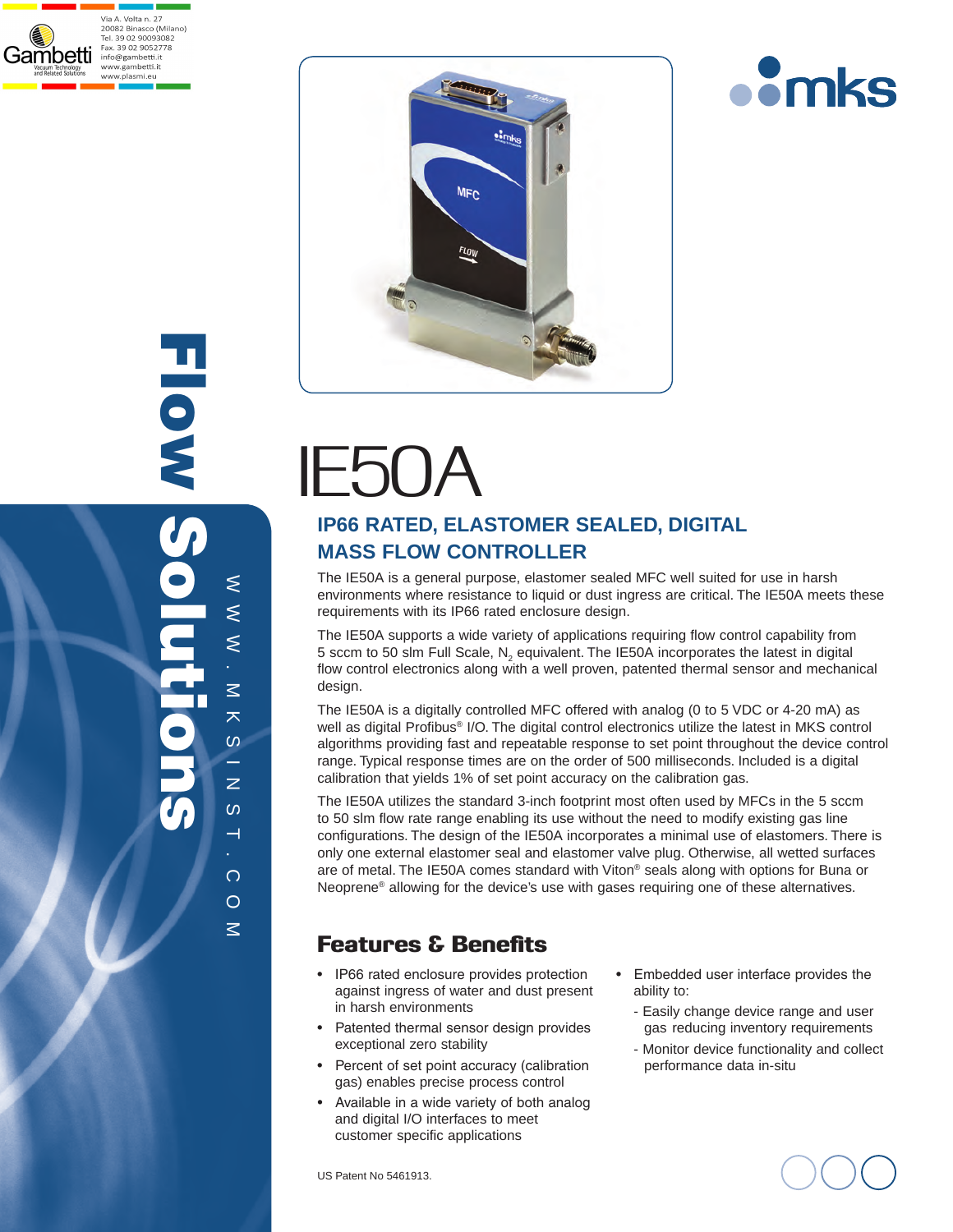







# $IEDU/$

## **IP66 RATED, ELASTOMER SEALED, DIGITAL MASS FLOW CONTROLLER**

The IE50A is a general purpose, elastomer sealed MFC well suited for use in harsh environments where resistance to liquid or dust ingress are critical. The IE50A meets these requirements with its IP66 rated enclosure design.

The IE50A supports a wide variety of applications requiring flow control capability from 5 sccm to 50 slm Full Scale, N<sub>2</sub> equivalent. The IE50A incorporates the latest in digital flow control electronics along with a well proven, patented thermal sensor and mechanical design.

The IE50A is a digitally controlled MFC offered with analog (0 to 5 VDC or 4-20 mA) as well as digital Profibus® I/O. The digital control electronics utilize the latest in MKS control algorithms providing fast and repeatable response to set point throughout the device control range. Typical response times are on the order of 500 milliseconds. Included is a digital calibration that yields 1% of set point accuracy on the calibration gas.

The IE50A utilizes the standard 3-inch footprint most often used by MFCs in the 5 sccm to 50 slm flow rate range enabling its use without the need to modify existing gas line configurations. The design of the IE50A incorporates a minimal use of elastomers. There is only one external elastomer seal and elastomer valve plug. Otherwise, all wetted surfaces are of metal. The IE50A comes standard with Viton® seals along with options for Buna or Neoprene® allowing for the device's use with gases requiring one of these alternatives.

## Features & Benefits

- IP66 rated enclosure provides protection against ingress of water and dust present in harsh environments
- Patented thermal sensor design provides exceptional zero stability
- Percent of set point accuracy (calibration gas) enables precise process control
- Available in a wide variety of both analog and digital I/O interfaces to meet customer specific applications

US Patent No 5461913.

- Embedded user interface provides the ability to:
	- Easily change device range and user gas reducing inventory requirements
	- Monitor device functionality and collect performance data in-situ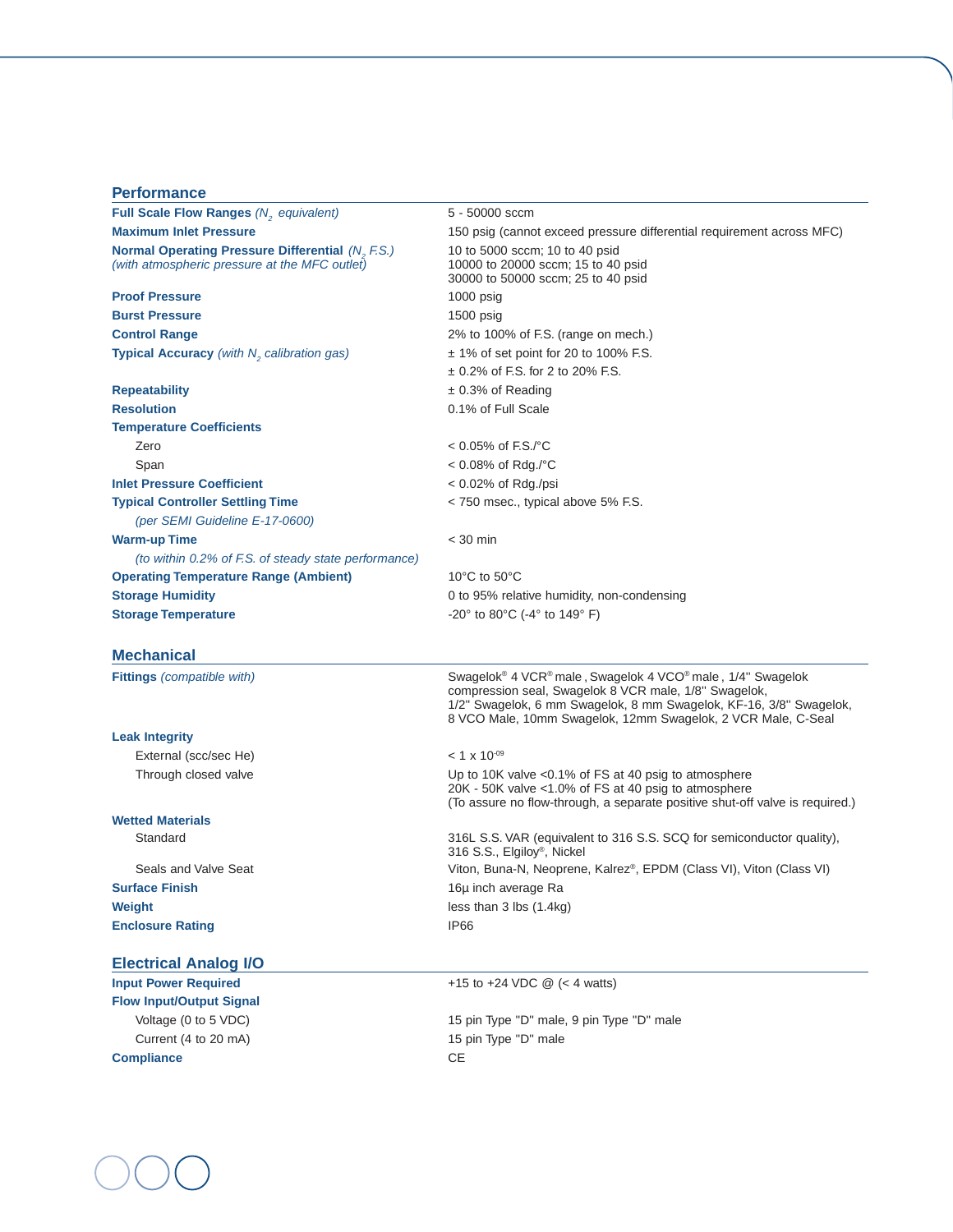## **Performance**

| Full Scale Flow Ranges (N <sub>2</sub> equivalent)                                                       | 5 - 50000 sccm                                                                                                                                                                                                                                                                                |  |  |
|----------------------------------------------------------------------------------------------------------|-----------------------------------------------------------------------------------------------------------------------------------------------------------------------------------------------------------------------------------------------------------------------------------------------|--|--|
| <b>Maximum Inlet Pressure</b>                                                                            | 150 psig (cannot exceed pressure differential requirement across MFC)                                                                                                                                                                                                                         |  |  |
| <b>Normal Operating Pressure Differential (N, F.S.)</b><br>(with atmospheric pressure at the MFC outlet) | 10 to 5000 sccm; 10 to 40 psid<br>10000 to 20000 sccm; 15 to 40 psid<br>30000 to 50000 sccm; 25 to 40 psid                                                                                                                                                                                    |  |  |
| <b>Proof Pressure</b>                                                                                    | $1000$ psig                                                                                                                                                                                                                                                                                   |  |  |
| <b>Burst Pressure</b>                                                                                    | $1500$ psig                                                                                                                                                                                                                                                                                   |  |  |
| <b>Control Range</b>                                                                                     | 2% to 100% of F.S. (range on mech.)                                                                                                                                                                                                                                                           |  |  |
| Typical Accuracy (with N <sub>2</sub> calibration gas)                                                   | $\pm$ 1% of set point for 20 to 100% F.S.                                                                                                                                                                                                                                                     |  |  |
|                                                                                                          | $\pm$ 0.2% of F.S. for 2 to 20% F.S.                                                                                                                                                                                                                                                          |  |  |
| <b>Repeatability</b>                                                                                     | $± 0.3%$ of Reading                                                                                                                                                                                                                                                                           |  |  |
| <b>Resolution</b>                                                                                        | 0.1% of Full Scale                                                                                                                                                                                                                                                                            |  |  |
| <b>Temperature Coefficients</b>                                                                          |                                                                                                                                                                                                                                                                                               |  |  |
| Zero                                                                                                     | $< 0.05\%$ of F.S./°C                                                                                                                                                                                                                                                                         |  |  |
| Span                                                                                                     | < 0.08% of Rdg./°C                                                                                                                                                                                                                                                                            |  |  |
| <b>Inlet Pressure Coefficient</b>                                                                        | $< 0.02\%$ of Rdg./psi                                                                                                                                                                                                                                                                        |  |  |
| <b>Typical Controller Settling Time</b>                                                                  | < 750 msec., typical above 5% F.S.                                                                                                                                                                                                                                                            |  |  |
| (per SEMI Guideline E-17-0600)                                                                           |                                                                                                                                                                                                                                                                                               |  |  |
| <b>Warm-up Time</b>                                                                                      | $<$ 30 min                                                                                                                                                                                                                                                                                    |  |  |
| (to within 0.2% of F.S. of steady state performance)                                                     |                                                                                                                                                                                                                                                                                               |  |  |
| <b>Operating Temperature Range (Ambient)</b>                                                             | 10°C to 50°C                                                                                                                                                                                                                                                                                  |  |  |
| <b>Storage Humidity</b>                                                                                  | 0 to 95% relative humidity, non-condensing                                                                                                                                                                                                                                                    |  |  |
| <b>Storage Temperature</b>                                                                               | -20 $^{\circ}$ to 80 $^{\circ}$ C (-4 $^{\circ}$ to 149 $^{\circ}$ F)                                                                                                                                                                                                                         |  |  |
| <b>Mechanical</b>                                                                                        |                                                                                                                                                                                                                                                                                               |  |  |
| <b>Fittings</b> (compatible with)                                                                        | Swagelok <sup>®</sup> 4 VCR <sup>®</sup> male, Swagelok 4 VCO <sup>®</sup> male, 1/4" Swagelok<br>compression seal, Swagelok 8 VCR male, 1/8" Swagelok,<br>1/2" Swagelok, 6 mm Swagelok, 8 mm Swagelok, KF-16, 3/8" Swagelok,<br>8 VCO Male, 10mm Swagelok, 12mm Swagelok, 2 VCR Male, C-Seal |  |  |
| <b>Leak Integrity</b>                                                                                    |                                                                                                                                                                                                                                                                                               |  |  |
| External (scc/sec He)                                                                                    | $< 1 \times 10^{-09}$                                                                                                                                                                                                                                                                         |  |  |
| Through closed valve                                                                                     | Up to 10K valve <0.1% of FS at 40 psig to atmosphere<br>20K - 50K valve <1.0% of FS at 40 psig to atmosphere<br>(To assure no flow-through, a separate positive shut-off valve is required.)                                                                                                  |  |  |
| <b>Wetted Materials</b>                                                                                  |                                                                                                                                                                                                                                                                                               |  |  |
| Standard                                                                                                 | 316L S.S. VAR (equivalent to 316 S.S. SCQ for semiconductor quality),<br>316 S.S., Elgilov <sup>®</sup> , Nickel                                                                                                                                                                              |  |  |
| Seals and Valve Seat                                                                                     | Viton, Buna-N, Neoprene, Kalrez®, EPDM (Class VI), Viton (Class VI)                                                                                                                                                                                                                           |  |  |

**Surface Finish** 16µ inch average Ra **Weight Weight less than 3 lbs (1.4kg) Enclosure Rating IP66** 

### **Electrical Analog I/O**

**Flow Input/Output Signal** Current (4 to 20 mA) 15 pin Type "D" male **Compliance** CE

**Input Power Required**  $+15$  to  $+24$  VDC @ (< 4 watts)

Voltage (0 to 5 VDC)  $\blacksquare$  15 pin Type "D" male, 9 pin Type "D" male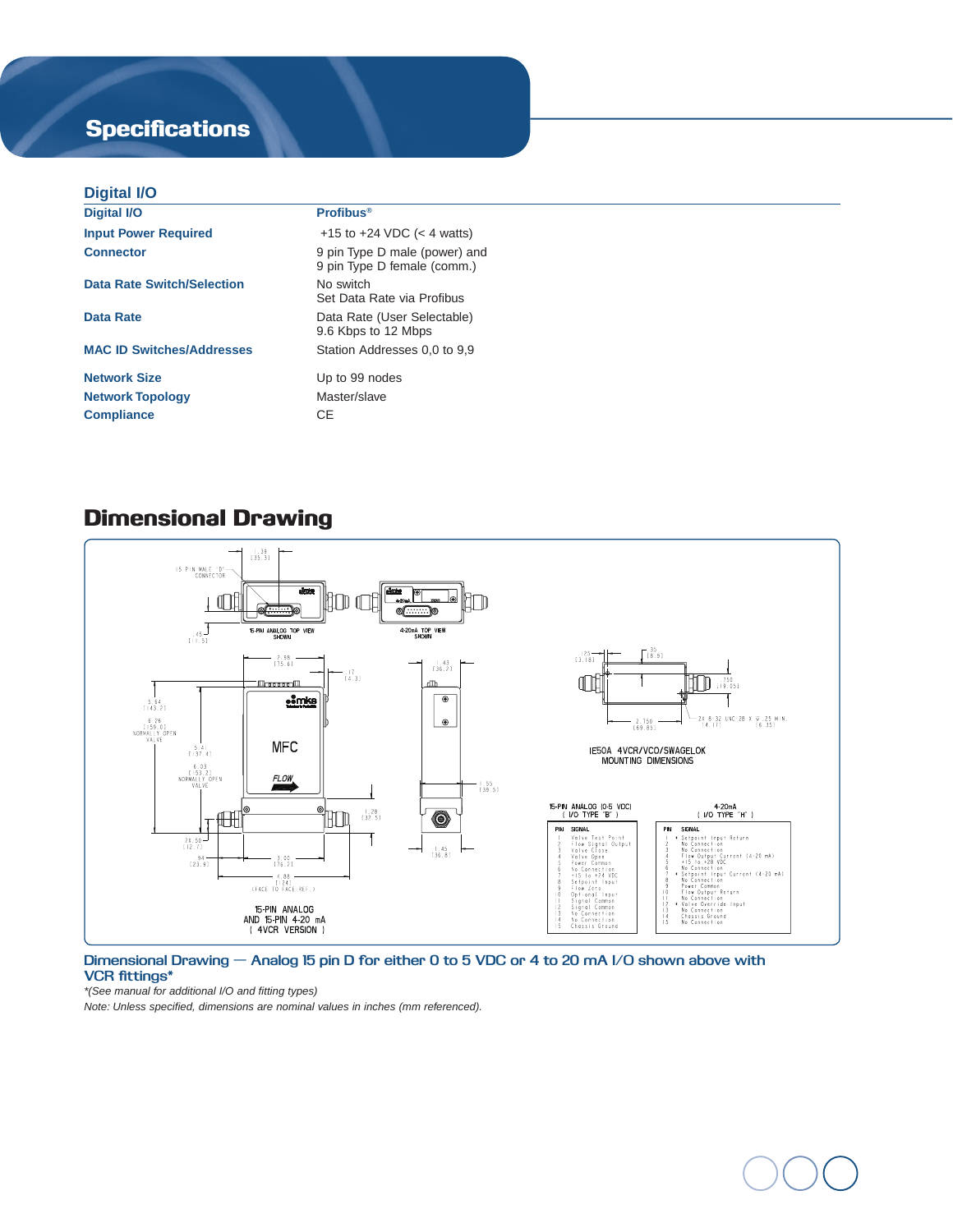# **Specifications**

#### **Digital I/O**

| <b>Digital I/O</b>                | <b>Profibus<sup>®</sup></b>                                  |
|-----------------------------------|--------------------------------------------------------------|
| <b>Input Power Required</b>       | +15 to +24 VDC $(< 4$ watts)                                 |
| <b>Connector</b>                  | 9 pin Type D male (power) and<br>9 pin Type D female (comm.) |
| <b>Data Rate Switch/Selection</b> | No switch<br>Set Data Rate via Profibus                      |
| Data Rate                         | Data Rate (User Selectable)<br>9.6 Kbps to 12 Mbps           |
| <b>MAC ID Switches/Addresses</b>  | Station Addresses 0.0 to 9.9                                 |
| <b>Network Size</b>               | Up to 99 nodes                                               |
| <b>Network Topology</b>           | Master/slave                                                 |
| <b>Compliance</b>                 | <b>CE</b>                                                    |
|                                   |                                                              |

## Dimensional Drawing



#### **Dimensional Drawing — Analog 15 pin D for either 0 to 5 VDC or 4 to 20 mA I/O shown above with VCR fittings\***

*\*(See manual for additional I/O and fitting types)* 

*Note: Unless specified, dimensions are nominal values in inches (mm referenced).*